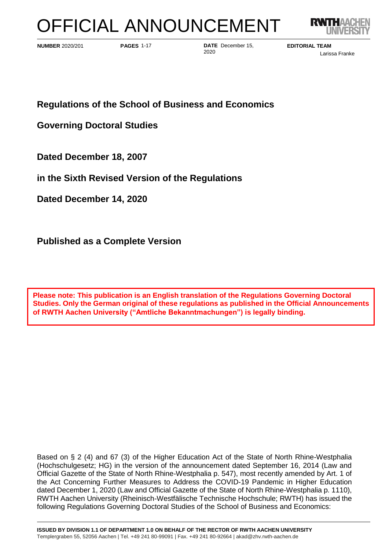# OFFICIAL ANNOUNCEMENT



**PAGES 1-17** 

**PAGES DATE** December 15, **NUMBER** 2020/201 **EDITORIAL TEAM** 2020

Larissa Franke

**Regulations of the School of Business and Economics**

**Governing Doctoral Studies**

**Dated December 18, 2007**

**in the Sixth Revised Version of the Regulations** 

**Dated December 14, 2020**

**Published as a Complete Version**

**Please note: This publication is an English translation of the Regulations Governing Doctoral Studies. Only the German original of these regulations as published in the Official Announcements of RWTH Aachen University ("Amtliche Bekanntmachungen") is legally binding.**

Based on § 2 (4) and 67 (3) of the Higher Education Act of the State of North Rhine-Westphalia (Hochschulgesetz; HG) in the version of the announcement dated September 16, 2014 (Law and Official Gazette of the State of North Rhine-Westphalia p. 547), most recently amended by Art. 1 of the Act Concerning Further Measures to Address the COVID-19 Pandemic in Higher Education dated December 1, 2020 (Law and Official Gazette of the State of North Rhine-Westphalia p. 1110), RWTH Aachen University (Rheinisch-Westfälische Technische Hochschule; RWTH) has issued the following Regulations Governing Doctoral Studies of the School of Business and Economics: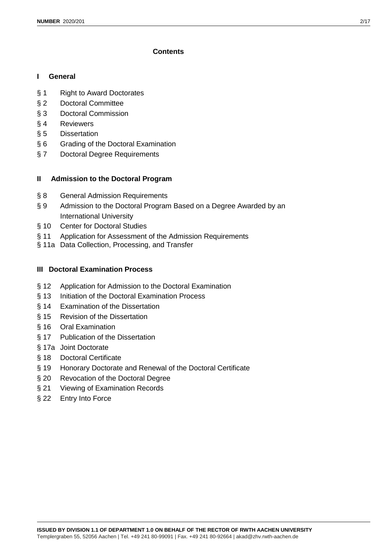# **Contents**

# **I General**

- § 1 Right to Award Doctorates
- § 2 Doctoral Committee
- § 3 Doctoral Commission
- § 4 Reviewers
- § 5 Dissertation
- § 6 Grading of the Doctoral Examination
- § 7 Doctoral Degree Requirements

# **II Admission to the Doctoral Program**

- § 8 General Admission Requirements
- § 9 Admission to the Doctoral Program Based on a Degree Awarded by an International University
- § 10 Center for Doctoral Studies
- § 11 Application for Assessment of the Admission Requirements
- § 11a Data Collection, Processing, and Transfer

# **III Doctoral Examination Process**

- § 12 Application for Admission to the Doctoral Examination
- § 13 Initiation of the Doctoral Examination Process
- § 14 Examination of the Dissertation
- § 15 Revision of the Dissertation
- § 16 Oral Examination
- § 17 Publication of the Dissertation
- § 17a Joint Doctorate
- § 18 Doctoral Certificate
- § 19 Honorary Doctorate and Renewal of the Doctoral Certificate
- § 20 Revocation of the Doctoral Degree
- § 21 Viewing of Examination Records
- § 22 Entry Into Force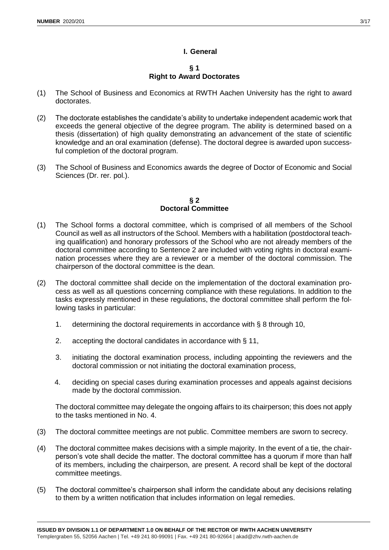## **I. General**

## **§ 1 Right to Award Doctorates**

- (1) The School of Business and Economics at RWTH Aachen University has the right to award doctorates.
- (2) The doctorate establishes the candidate's ability to undertake independent academic work that exceeds the general objective of the degree program. The ability is determined based on a thesis (dissertation) of high quality demonstrating an advancement of the state of scientific knowledge and an oral examination (defense). The doctoral degree is awarded upon successful completion of the doctoral program.
- (3) The School of Business and Economics awards the degree of Doctor of Economic and Social Sciences (Dr. rer. pol.).

## **§ 2 Doctoral Committee**

- (1) The School forms a doctoral committee, which is comprised of all members of the School Council as well as all instructors of the School. Members with a habilitation (postdoctoral teaching qualification) and honorary professors of the School who are not already members of the doctoral committee according to Sentence 2 are included with voting rights in doctoral examination processes where they are a reviewer or a member of the doctoral commission. The chairperson of the doctoral committee is the dean.
- (2) The doctoral committee shall decide on the implementation of the doctoral examination process as well as all questions concerning compliance with these regulations. In addition to the tasks expressly mentioned in these regulations, the doctoral committee shall perform the following tasks in particular:
	- 1. determining the doctoral requirements in accordance with § 8 through 10,
	- 2. accepting the doctoral candidates in accordance with § 11,
	- 3. initiating the doctoral examination process, including appointing the reviewers and the doctoral commission or not initiating the doctoral examination process,
	- 4. deciding on special cases during examination processes and appeals against decisions made by the doctoral commission.

The doctoral committee may delegate the ongoing affairs to its chairperson; this does not apply to the tasks mentioned in No. 4.

- (3) The doctoral committee meetings are not public. Committee members are sworn to secrecy.
- (4) The doctoral committee makes decisions with a simple majority. In the event of a tie, the chairperson's vote shall decide the matter. The doctoral committee has a quorum if more than half of its members, including the chairperson, are present. A record shall be kept of the doctoral committee meetings.
- (5) The doctoral committee's chairperson shall inform the candidate about any decisions relating to them by a written notification that includes information on legal remedies.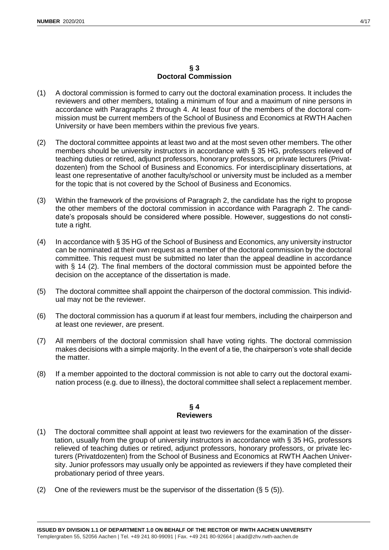## **§ 3 Doctoral Commission**

- (1) A doctoral commission is formed to carry out the doctoral examination process. It includes the reviewers and other members, totaling a minimum of four and a maximum of nine persons in accordance with Paragraphs 2 through 4. At least four of the members of the doctoral commission must be current members of the School of Business and Economics at RWTH Aachen University or have been members within the previous five years.
- (2) The doctoral committee appoints at least two and at the most seven other members. The other members should be university instructors in accordance with § 35 HG, professors relieved of teaching duties or retired, adjunct professors, honorary professors, or private lecturers (Privatdozenten) from the School of Business and Economics. For interdisciplinary dissertations, at least one representative of another faculty/school or university must be included as a member for the topic that is not covered by the School of Business and Economics.
- (3) Within the framework of the provisions of Paragraph 2, the candidate has the right to propose the other members of the doctoral commission in accordance with Paragraph 2. The candidate's proposals should be considered where possible. However, suggestions do not constitute a right.
- (4) In accordance with § 35 HG of the School of Business and Economics, any university instructor can be nominated at their own request as a member of the doctoral commission by the doctoral committee. This request must be submitted no later than the appeal deadline in accordance with § 14 (2). The final members of the doctoral commission must be appointed before the decision on the acceptance of the dissertation is made.
- (5) The doctoral committee shall appoint the chairperson of the doctoral commission. This individual may not be the reviewer.
- (6) The doctoral commission has a quorum if at least four members, including the chairperson and at least one reviewer, are present.
- (7) All members of the doctoral commission shall have voting rights. The doctoral commission makes decisions with a simple majority. In the event of a tie, the chairperson's vote shall decide the matter.
- (8) If a member appointed to the doctoral commission is not able to carry out the doctoral examination process (e.g. due to illness), the doctoral committee shall select a replacement member.

## **§ 4 Reviewers**

- (1) The doctoral committee shall appoint at least two reviewers for the examination of the dissertation, usually from the group of university instructors in accordance with § 35 HG, professors relieved of teaching duties or retired, adjunct professors, honorary professors, or private lecturers (Privatdozenten) from the School of Business and Economics at RWTH Aachen University. Junior professors may usually only be appointed as reviewers if they have completed their probationary period of three years.
- (2) One of the reviewers must be the supervisor of the dissertation  $(§ 5 (5)).$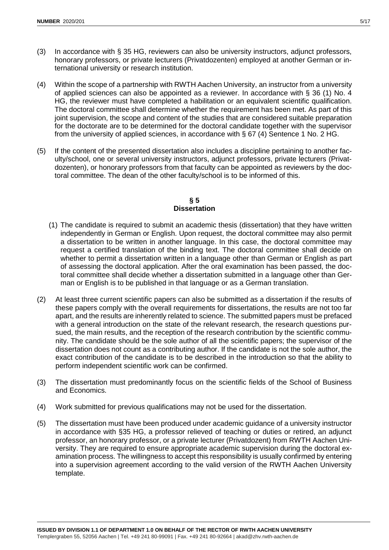- (3) In accordance with § 35 HG, reviewers can also be university instructors, adjunct professors, honorary professors, or private lecturers (Privatdozenten) employed at another German or international university or research institution.
- (4) Within the scope of a partnership with RWTH Aachen University, an instructor from a university of applied sciences can also be appointed as a reviewer. In accordance with § 36 (1) No. 4 HG, the reviewer must have completed a habilitation or an equivalent scientific qualification. The doctoral committee shall determine whether the requirement has been met. As part of this joint supervision, the scope and content of the studies that are considered suitable preparation for the doctorate are to be determined for the doctoral candidate together with the supervisor from the university of applied sciences, in accordance with § 67 (4) Sentence 1 No. 2 HG.
- (5) If the content of the presented dissertation also includes a discipline pertaining to another faculty/school, one or several university instructors, adjunct professors, private lecturers (Privatdozenten), or honorary professors from that faculty can be appointed as reviewers by the doctoral committee. The dean of the other faculty/school is to be informed of this.

## **§ 5 Dissertation**

- (1) The candidate is required to submit an academic thesis (dissertation) that they have written independently in German or English. Upon request, the doctoral committee may also permit a dissertation to be written in another language. In this case, the doctoral committee may request a certified translation of the binding text. The doctoral committee shall decide on whether to permit a dissertation written in a language other than German or English as part of assessing the doctoral application. After the oral examination has been passed, the doctoral committee shall decide whether a dissertation submitted in a language other than German or English is to be published in that language or as a German translation.
- (2) At least three current scientific papers can also be submitted as a dissertation if the results of these papers comply with the overall requirements for dissertations, the results are not too far apart, and the results are inherently related to science. The submitted papers must be prefaced with a general introduction on the state of the relevant research, the research questions pursued, the main results, and the reception of the research contribution by the scientific community. The candidate should be the sole author of all the scientific papers; the supervisor of the dissertation does not count as a contributing author. If the candidate is not the sole author, the exact contribution of the candidate is to be described in the introduction so that the ability to perform independent scientific work can be confirmed.
- (3) The dissertation must predominantly focus on the scientific fields of the School of Business and Economics.
- (4) Work submitted for previous qualifications may not be used for the dissertation.
- (5) The dissertation must have been produced under academic guidance of a university instructor in accordance with §35 HG, a professor relieved of teaching or duties or retired, an adjunct professor, an honorary professor, or a private lecturer (Privatdozent) from RWTH Aachen University. They are required to ensure appropriate academic supervision during the doctoral examination process. The willingness to accept this responsibility is usually confirmed by entering into a supervision agreement according to the valid version of the RWTH Aachen University template.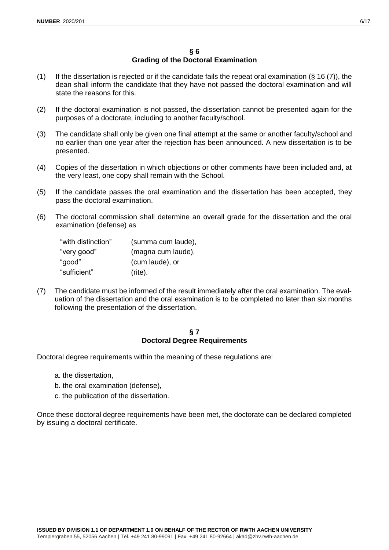- (1) If the dissertation is rejected or if the candidate fails the repeat oral examination  $(§ 16 (7))$ , the dean shall inform the candidate that they have not passed the doctoral examination and will state the reasons for this.
- (2) If the doctoral examination is not passed, the dissertation cannot be presented again for the purposes of a doctorate, including to another faculty/school.
- (3) The candidate shall only be given one final attempt at the same or another faculty/school and no earlier than one year after the rejection has been announced. A new dissertation is to be presented.
- (4) Copies of the dissertation in which objections or other comments have been included and, at the very least, one copy shall remain with the School.
- (5) If the candidate passes the oral examination and the dissertation has been accepted, they pass the doctoral examination.
- (6) The doctoral commission shall determine an overall grade for the dissertation and the oral examination (defense) as

| "with distinction" | (summa cum laude), |
|--------------------|--------------------|
| "very good"        | (magna cum laude), |
| "good"             | (cum laude), or    |
| "sufficient"       | $(rite)$ .         |

(7) The candidate must be informed of the result immediately after the oral examination. The evaluation of the dissertation and the oral examination is to be completed no later than six months following the presentation of the dissertation.

# **§ 7 Doctoral Degree Requirements**

Doctoral degree requirements within the meaning of these regulations are:

- a. the dissertation,
- b. the oral examination (defense),
- c. the publication of the dissertation.

Once these doctoral degree requirements have been met, the doctorate can be declared completed by issuing a doctoral certificate.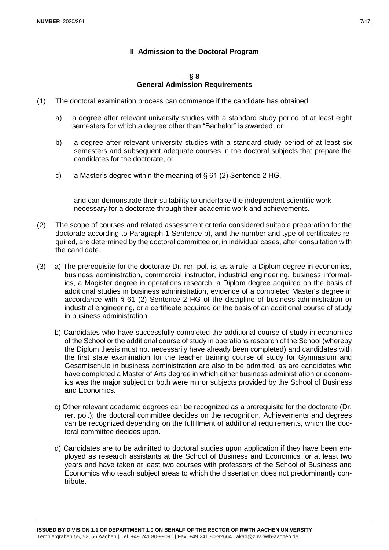# **II Admission to the Doctoral Program**

#### **§ 8 General Admission Requirements**

- (1) The doctoral examination process can commence if the candidate has obtained
	- a) a degree after relevant university studies with a standard study period of at least eight semesters for which a degree other than "Bachelor" is awarded, or
	- b) a degree after relevant university studies with a standard study period of at least six semesters and subsequent adequate courses in the doctoral subjects that prepare the candidates for the doctorate, or
	- c) a Master's degree within the meaning of  $\S$  61 (2) Sentence 2 HG,

and can demonstrate their suitability to undertake the independent scientific work necessary for a doctorate through their academic work and achievements.

- (2) The scope of courses and related assessment criteria considered suitable preparation for the doctorate according to Paragraph 1 Sentence b), and the number and type of certificates required, are determined by the doctoral committee or, in individual cases, after consultation with the candidate.
- (3) a) The prerequisite for the doctorate Dr. rer. pol. is, as a rule, a Diplom degree in economics, business administration, commercial instructor, industrial engineering, business informatics, a Magister degree in operations research, a Diplom degree acquired on the basis of additional studies in business administration, evidence of a completed Master's degree in accordance with § 61 (2) Sentence 2 HG of the discipline of business administration or industrial engineering, or a certificate acquired on the basis of an additional course of study in business administration.
	- b) Candidates who have successfully completed the additional course of study in economics of the School or the additional course of study in operations research of the School (whereby the Diplom thesis must not necessarily have already been completed) and candidates with the first state examination for the teacher training course of study for Gymnasium and Gesamtschule in business administration are also to be admitted, as are candidates who have completed a Master of Arts degree in which either business administration or economics was the major subject or both were minor subjects provided by the School of Business and Economics.
	- c) Other relevant academic degrees can be recognized as a prerequisite for the doctorate (Dr. rer. pol.); the doctoral committee decides on the recognition. Achievements and degrees can be recognized depending on the fulfillment of additional requirements, which the doctoral committee decides upon.
	- d) Candidates are to be admitted to doctoral studies upon application if they have been employed as research assistants at the School of Business and Economics for at least two years and have taken at least two courses with professors of the School of Business and Economics who teach subject areas to which the dissertation does not predominantly contribute.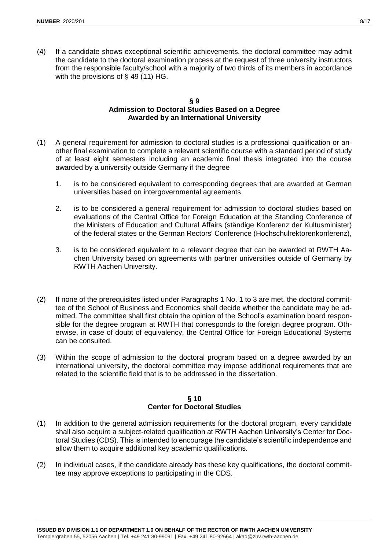(4) If a candidate shows exceptional scientific achievements, the doctoral committee may admit the candidate to the doctoral examination process at the request of three university instructors from the responsible faculty/school with a majority of two thirds of its members in accordance with the provisions of § 49 (11) HG.

#### **§ 9 Admission to Doctoral Studies Based on a Degree Awarded by an International University**

- (1) A general requirement for admission to doctoral studies is a professional qualification or another final examination to complete a relevant scientific course with a standard period of study of at least eight semesters including an academic final thesis integrated into the course awarded by a university outside Germany if the degree
	- 1. is to be considered equivalent to corresponding degrees that are awarded at German universities based on intergovernmental agreements,
	- 2. is to be considered a general requirement for admission to doctoral studies based on evaluations of the Central Office for Foreign Education at the Standing Conference of the Ministers of Education and Cultural Affairs (ständige Konferenz der Kultusminister) of the federal states or the German Rectors' Conference (Hochschulrektorenkonferenz),
	- 3. is to be considered equivalent to a relevant degree that can be awarded at RWTH Aachen University based on agreements with partner universities outside of Germany by RWTH Aachen University.
- (2) If none of the prerequisites listed under Paragraphs 1 No. 1 to 3 are met, the doctoral committee of the School of Business and Economics shall decide whether the candidate may be admitted. The committee shall first obtain the opinion of the School's examination board responsible for the degree program at RWTH that corresponds to the foreign degree program. Otherwise, in case of doubt of equivalency, the Central Office for Foreign Educational Systems can be consulted.
- (3) Within the scope of admission to the doctoral program based on a degree awarded by an international university, the doctoral committee may impose additional requirements that are related to the scientific field that is to be addressed in the dissertation.

## **§ 10 Center for Doctoral Studies**

- (1) In addition to the general admission requirements for the doctoral program, every candidate shall also acquire a subject-related qualification at RWTH Aachen University's Center for Doctoral Studies (CDS). This is intended to encourage the candidate's scientific independence and allow them to acquire additional key academic qualifications.
- (2) In individual cases, if the candidate already has these key qualifications, the doctoral committee may approve exceptions to participating in the CDS.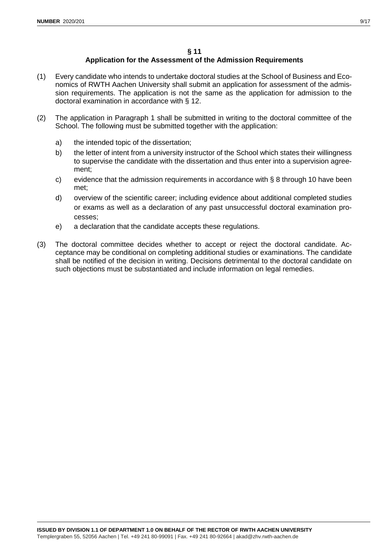# **§ 11**

# **Application for the Assessment of the Admission Requirements**

- (1) Every candidate who intends to undertake doctoral studies at the School of Business and Economics of RWTH Aachen University shall submit an application for assessment of the admission requirements. The application is not the same as the application for admission to the doctoral examination in accordance with § 12.
- (2) The application in Paragraph 1 shall be submitted in writing to the doctoral committee of the School. The following must be submitted together with the application:
	- a) the intended topic of the dissertation;
	- b) the letter of intent from a university instructor of the School which states their willingness to supervise the candidate with the dissertation and thus enter into a supervision agreement;
	- c) evidence that the admission requirements in accordance with § 8 through 10 have been met;
	- d) overview of the scientific career; including evidence about additional completed studies or exams as well as a declaration of any past unsuccessful doctoral examination processes;
	- e) a declaration that the candidate accepts these regulations.
- (3) The doctoral committee decides whether to accept or reject the doctoral candidate. Acceptance may be conditional on completing additional studies or examinations. The candidate shall be notified of the decision in writing. Decisions detrimental to the doctoral candidate on such objections must be substantiated and include information on legal remedies.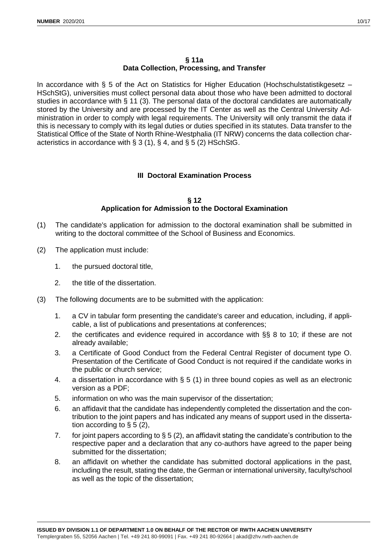## **§ 11a Data Collection, Processing, and Transfer**

In accordance with § 5 of the Act on Statistics for Higher Education (Hochschulstatistikgesetz – HSchStG), universities must collect personal data about those who have been admitted to doctoral studies in accordance with § 11 (3). The personal data of the doctoral candidates are automatically stored by the University and are processed by the IT Center as well as the Central University Administration in order to comply with legal requirements. The University will only transmit the data if this is necessary to comply with its legal duties or duties specified in its statutes. Data transfer to the Statistical Office of the State of North Rhine-Westphalia (IT NRW) concerns the data collection characteristics in accordance with § 3 (1), § 4, and § 5 (2) HSchStG.

# **III Doctoral Examination Process**

## **§ 12 Application for Admission to the Doctoral Examination**

- (1) The candidate's application for admission to the doctoral examination shall be submitted in writing to the doctoral committee of the School of Business and Economics.
- (2) The application must include:
	- 1. the pursued doctoral title,
	- 2. the title of the dissertation.
- (3) The following documents are to be submitted with the application:
	- 1. a CV in tabular form presenting the candidate's career and education, including, if applicable, a list of publications and presentations at conferences;
	- 2. the certificates and evidence required in accordance with §§ 8 to 10; if these are not already available;
	- 3. a Certificate of Good Conduct from the Federal Central Register of document type O. Presentation of the Certificate of Good Conduct is not required if the candidate works in the public or church service;
	- 4. a dissertation in accordance with § 5 (1) in three bound copies as well as an electronic version as a PDF;
	- 5. information on who was the main supervisor of the dissertation;
	- 6. an affidavit that the candidate has independently completed the dissertation and the contribution to the joint papers and has indicated any means of support used in the dissertation according to  $\S 5 (2)$ ,
	- 7. for joint papers according to § 5 (2), an affidavit stating the candidate's contribution to the respective paper and a declaration that any co-authors have agreed to the paper being submitted for the dissertation;
	- 8. an affidavit on whether the candidate has submitted doctoral applications in the past, including the result, stating the date, the German or international university, faculty/school as well as the topic of the dissertation;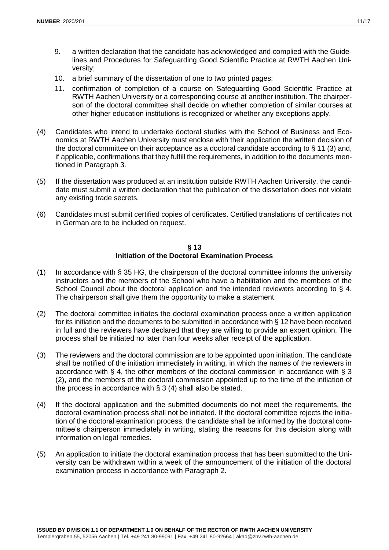- 9. a written declaration that the candidate has acknowledged and complied with the Guidelines and Procedures for Safeguarding Good Scientific Practice at RWTH Aachen University;
- 10. a brief summary of the dissertation of one to two printed pages;
- 11. confirmation of completion of a course on Safeguarding Good Scientific Practice at RWTH Aachen University or a corresponding course at another institution. The chairperson of the doctoral committee shall decide on whether completion of similar courses at other higher education institutions is recognized or whether any exceptions apply.
- (4) Candidates who intend to undertake doctoral studies with the School of Business and Economics at RWTH Aachen University must enclose with their application the written decision of the doctoral committee on their acceptance as a doctoral candidate according to § 11 (3) and, if applicable, confirmations that they fulfill the requirements, in addition to the documents mentioned in Paragraph 3.
- (5) If the dissertation was produced at an institution outside RWTH Aachen University, the candidate must submit a written declaration that the publication of the dissertation does not violate any existing trade secrets.
- (6) Candidates must submit certified copies of certificates. Certified translations of certificates not in German are to be included on request.

## **§ 13 Initiation of the Doctoral Examination Process**

- (1) In accordance with § 35 HG, the chairperson of the doctoral committee informs the university instructors and the members of the School who have a habilitation and the members of the School Council about the doctoral application and the intended reviewers according to § 4. The chairperson shall give them the opportunity to make a statement.
- (2) The doctoral committee initiates the doctoral examination process once a written application for its initiation and the documents to be submitted in accordance with § 12 have been received in full and the reviewers have declared that they are willing to provide an expert opinion. The process shall be initiated no later than four weeks after receipt of the application.
- (3) The reviewers and the doctoral commission are to be appointed upon initiation. The candidate shall be notified of the initiation immediately in writing, in which the names of the reviewers in accordance with § 4, the other members of the doctoral commission in accordance with § 3 (2), and the members of the doctoral commission appointed up to the time of the initiation of the process in accordance with § 3 (4) shall also be stated.
- (4) If the doctoral application and the submitted documents do not meet the requirements, the doctoral examination process shall not be initiated. If the doctoral committee rejects the initiation of the doctoral examination process, the candidate shall be informed by the doctoral committee's chairperson immediately in writing, stating the reasons for this decision along with information on legal remedies.
- (5) An application to initiate the doctoral examination process that has been submitted to the University can be withdrawn within a week of the announcement of the initiation of the doctoral examination process in accordance with Paragraph 2.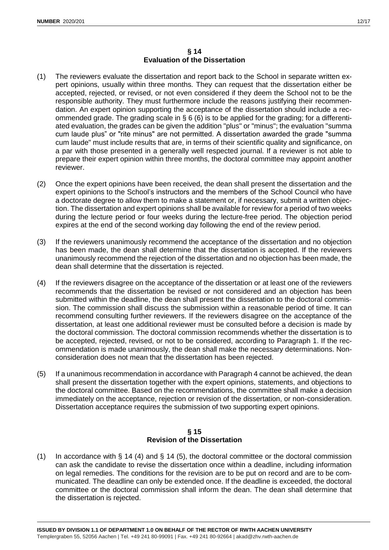## **§ 14 Evaluation of the Dissertation**

- (1) The reviewers evaluate the dissertation and report back to the School in separate written expert opinions, usually within three months. They can request that the dissertation either be accepted, rejected, or revised, or not even considered if they deem the School not to be the responsible authority. They must furthermore include the reasons justifying their recommendation. An expert opinion supporting the acceptance of the dissertation should include a recommended grade. The grading scale in § 6 (6) is to be applied for the grading; for a differentiated evaluation, the grades can be given the addition "plus" or "minus"; the evaluation "summa cum laude plus" or "rite minus" are not permitted. A dissertation awarded the grade "summa cum laude" must include results that are, in terms of their scientific quality and significance, on a par with those presented in a generally well respected journal. If a reviewer is not able to prepare their expert opinion within three months, the doctoral committee may appoint another reviewer.
- (2) Once the expert opinions have been received, the dean shall present the dissertation and the expert opinions to the School's instructors and the members of the School Council who have a doctorate degree to allow them to make a statement or, if necessary, submit a written objection. The dissertation and expert opinions shall be available for review for a period of two weeks during the lecture period or four weeks during the lecture-free period. The objection period expires at the end of the second working day following the end of the review period.
- (3) If the reviewers unanimously recommend the acceptance of the dissertation and no objection has been made, the dean shall determine that the dissertation is accepted. If the reviewers unanimously recommend the rejection of the dissertation and no objection has been made, the dean shall determine that the dissertation is rejected.
- (4) If the reviewers disagree on the acceptance of the dissertation or at least one of the reviewers recommends that the dissertation be revised or not considered and an objection has been submitted within the deadline, the dean shall present the dissertation to the doctoral commission. The commission shall discuss the submission within a reasonable period of time. It can recommend consulting further reviewers. If the reviewers disagree on the acceptance of the dissertation, at least one additional reviewer must be consulted before a decision is made by the doctoral commission. The doctoral commission recommends whether the dissertation is to be accepted, rejected, revised, or not to be considered, according to Paragraph 1. If the recommendation is made unanimously, the dean shall make the necessary determinations. Nonconsideration does not mean that the dissertation has been rejected.
- (5) If a unanimous recommendation in accordance with Paragraph 4 cannot be achieved, the dean shall present the dissertation together with the expert opinions, statements, and objections to the doctoral committee. Based on the recommendations, the committee shall make a decision immediately on the acceptance, rejection or revision of the dissertation, or non-consideration. Dissertation acceptance requires the submission of two supporting expert opinions.

## **§ 15 Revision of the Dissertation**

(1) In accordance with § 14 (4) and § 14 (5), the doctoral committee or the doctoral commission can ask the candidate to revise the dissertation once within a deadline, including information on legal remedies. The conditions for the revision are to be put on record and are to be communicated. The deadline can only be extended once. If the deadline is exceeded, the doctoral committee or the doctoral commission shall inform the dean. The dean shall determine that the dissertation is rejected.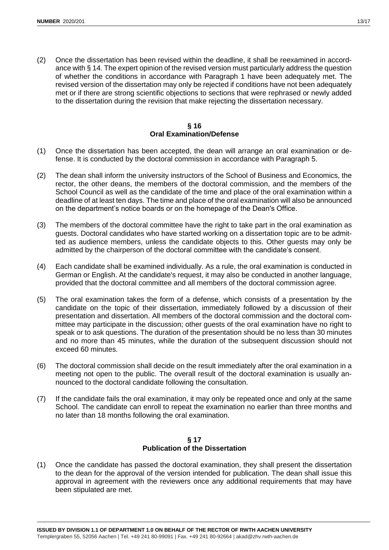(2) Once the dissertation has been revised within the deadline, it shall be reexamined in accordance with § 14. The expert opinion of the revised version must particularly address the question of whether the conditions in accordance with Paragraph 1 have been adequately met. The revised version of the dissertation may only be rejected if conditions have not been adequately met or if there are strong scientific objections to sections that were rephrased or newly added to the dissertation during the revision that make rejecting the dissertation necessary.

## **§ 16 Oral Examination/Defense**

- (1) Once the dissertation has been accepted, the dean will arrange an oral examination or defense. It is conducted by the doctoral commission in accordance with Paragraph 5.
- (2) The dean shall inform the university instructors of the School of Business and Economics, the rector, the other deans, the members of the doctoral commission, and the members of the School Council as well as the candidate of the time and place of the oral examination within a deadline of at least ten days. The time and place of the oral examination will also be announced on the department's notice boards or on the homepage of the Dean's Office.
- (3) The members of the doctoral committee have the right to take part in the oral examination as guests. Doctoral candidates who have started working on a dissertation topic are to be admitted as audience members, unless the candidate objects to this. Other guests may only be admitted by the chairperson of the doctoral committee with the candidate's consent.
- (4) Each candidate shall be examined individually. As a rule, the oral examination is conducted in German or English. At the candidate's request, it may also be conducted in another language, provided that the doctoral committee and all members of the doctoral commission agree.
- (5) The oral examination takes the form of a defense, which consists of a presentation by the candidate on the topic of their dissertation, immediately followed by a discussion of their presentation and dissertation. All members of the doctoral commission and the doctoral committee may participate in the discussion; other guests of the oral examination have no right to speak or to ask questions. The duration of the presentation should be no less than 30 minutes and no more than 45 minutes, while the duration of the subsequent discussion should not exceed 60 minutes.
- (6) The doctoral commission shall decide on the result immediately after the oral examination in a meeting not open to the public. The overall result of the doctoral examination is usually announced to the doctoral candidate following the consultation.
- (7) If the candidate fails the oral examination, it may only be repeated once and only at the same School. The candidate can enroll to repeat the examination no earlier than three months and no later than 18 months following the oral examination.

## **§ 17 Publication of the Dissertation**

(1) Once the candidate has passed the doctoral examination, they shall present the dissertation to the dean for the approval of the version intended for publication. The dean shall issue this approval in agreement with the reviewers once any additional requirements that may have been stipulated are met.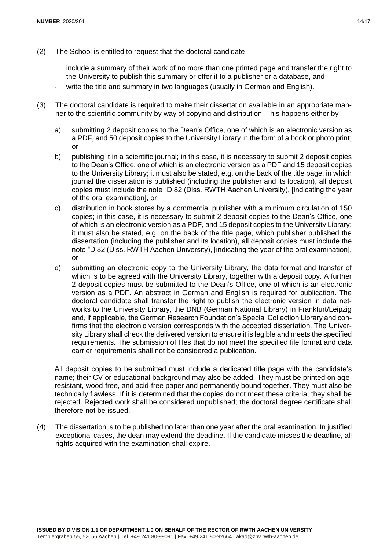- include a summary of their work of no more than one printed page and transfer the right to the University to publish this summary or offer it to a publisher or a database, and
- write the title and summary in two languages (usually in German and English).
- (3) The doctoral candidate is required to make their dissertation available in an appropriate manner to the scientific community by way of copying and distribution. This happens either by
	- a) submitting 2 deposit copies to the Dean's Office, one of which is an electronic version as a PDF, and 50 deposit copies to the University Library in the form of a book or photo print; or
	- b) publishing it in a scientific journal; in this case, it is necessary to submit 2 deposit copies to the Dean's Office, one of which is an electronic version as a PDF and 15 deposit copies to the University Library; it must also be stated, e.g. on the back of the title page, in which journal the dissertation is published (including the publisher and its location), all deposit copies must include the note "D 82 (Diss. RWTH Aachen University), [indicating the year of the oral examination], or
	- c) distribution in book stores by a commercial publisher with a minimum circulation of 150 copies; in this case, it is necessary to submit 2 deposit copies to the Dean's Office, one of which is an electronic version as a PDF, and 15 deposit copies to the University Library; it must also be stated, e.g. on the back of the title page, which publisher published the dissertation (including the publisher and its location), all deposit copies must include the note "D 82 (Diss. RWTH Aachen University), [indicating the year of the oral examination], or
	- d) submitting an electronic copy to the University Library, the data format and transfer of which is to be agreed with the University Library, together with a deposit copy. A further 2 deposit copies must be submitted to the Dean's Office, one of which is an electronic version as a PDF. An abstract in German and English is required for publication. The doctoral candidate shall transfer the right to publish the electronic version in data networks to the University Library, the DNB (German National Library) in Frankfurt/Leipzig and, if applicable, the German Research Foundation's Special Collection Library and confirms that the electronic version corresponds with the accepted dissertation. The University Library shall check the delivered version to ensure it is legible and meets the specified requirements. The submission of files that do not meet the specified file format and data carrier requirements shall not be considered a publication.

All deposit copies to be submitted must include a dedicated title page with the candidate's name; their CV or educational background may also be added. They must be printed on ageresistant, wood-free, and acid-free paper and permanently bound together. They must also be technically flawless. If it is determined that the copies do not meet these criteria, they shall be rejected. Rejected work shall be considered unpublished; the doctoral degree certificate shall therefore not be issued.

(4) The dissertation is to be published no later than one year after the oral examination. In justified exceptional cases, the dean may extend the deadline. If the candidate misses the deadline, all rights acquired with the examination shall expire.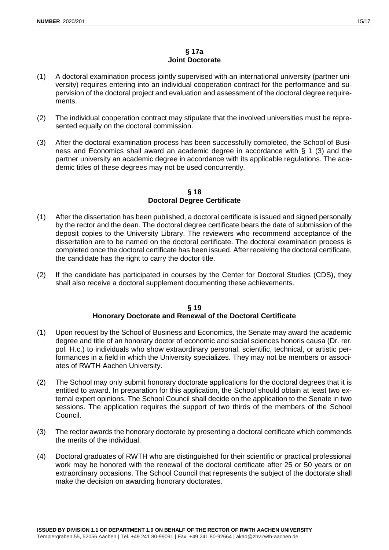- (1) A doctoral examination process jointly supervised with an international university (partner university) requires entering into an individual cooperation contract for the performance and supervision of the doctoral project and evaluation and assessment of the doctoral degree requirements.
- (2) The individual cooperation contract may stipulate that the involved universities must be represented equally on the doctoral commission.
- (3) After the doctoral examination process has been successfully completed, the School of Business and Economics shall award an academic degree in accordance with § 1 (3) and the partner university an academic degree in accordance with its applicable regulations. The academic titles of these degrees may not be used concurrently.

## **§ 18 Doctoral Degree Certificate**

- (1) After the dissertation has been published, a doctoral certificate is issued and signed personally by the rector and the dean. The doctoral degree certificate bears the date of submission of the deposit copies to the University Library. The reviewers who recommend acceptance of the dissertation are to be named on the doctoral certificate. The doctoral examination process is completed once the doctoral certificate has been issued. After receiving the doctoral certificate, the candidate has the right to carry the doctor title.
- (2) If the candidate has participated in courses by the Center for Doctoral Studies (CDS), they shall also receive a doctoral supplement documenting these achievements.

## **§ 19 Honorary Doctorate and Renewal of the Doctoral Certificate**

- (1) Upon request by the School of Business and Economics, the Senate may award the academic degree and title of an honorary doctor of economic and social sciences honoris causa (Dr. rer. pol. H.c.) to individuals who show extraordinary personal, scientific, technical, or artistic performances in a field in which the University specializes. They may not be members or associates of RWTH Aachen University.
- (2) The School may only submit honorary doctorate applications for the doctoral degrees that it is entitled to award. In preparation for this application, the School should obtain at least two external expert opinions. The School Council shall decide on the application to the Senate in two sessions. The application requires the support of two thirds of the members of the School Council.
- (3) The rector awards the honorary doctorate by presenting a doctoral certificate which commends the merits of the individual.
- (4) Doctoral graduates of RWTH who are distinguished for their scientific or practical professional work may be honored with the renewal of the doctoral certificate after 25 or 50 years or on extraordinary occasions. The School Council that represents the subject of the doctorate shall make the decision on awarding honorary doctorates.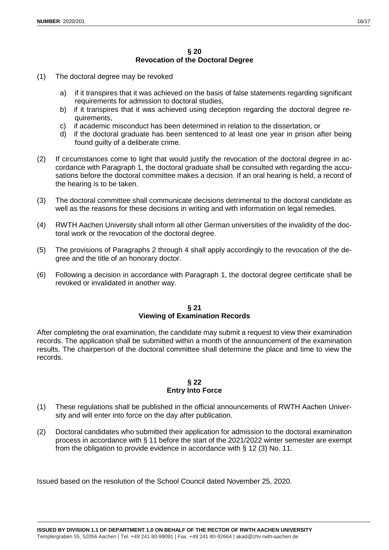## **§ 20 Revocation of the Doctoral Degree**

- (1) The doctoral degree may be revoked
	- a) if it transpires that it was achieved on the basis of false statements regarding significant requirements for admission to doctoral studies,
	- b) if it transpires that it was achieved using deception regarding the doctoral degree requirements,
	- c) if academic misconduct has been determined in relation to the dissertation, or
	- d) if the doctoral graduate has been sentenced to at least one year in prison after being found guilty of a deliberate crime.
- (2) If circumstances come to light that would justify the revocation of the doctoral degree in accordance with Paragraph 1, the doctoral graduate shall be consulted with regarding the accusations before the doctoral committee makes a decision. If an oral hearing is held, a record of the hearing is to be taken.
- (3) The doctoral committee shall communicate decisions detrimental to the doctoral candidate as well as the reasons for these decisions in writing and with information on legal remedies.
- (4) RWTH Aachen University shall inform all other German universities of the invalidity of the doctoral work or the revocation of the doctoral degree.
- (5) The provisions of Paragraphs 2 through 4 shall apply accordingly to the revocation of the degree and the title of an honorary doctor.
- (6) Following a decision in accordance with Paragraph 1, the doctoral degree certificate shall be revoked or invalidated in another way.

## **§ 21 Viewing of Examination Records**

After completing the oral examination, the candidate may submit a request to view their examination records. The application shall be submitted within a month of the announcement of the examination results. The chairperson of the doctoral committee shall determine the place and time to view the records.

## **§ 22 Entry Into Force**

- (1) These regulations shall be published in the official announcements of RWTH Aachen University and will enter into force on the day after publication.
- (2) Doctoral candidates who submitted their application for admission to the doctoral examination process in accordance with § 11 before the start of the 2021/2022 winter semester are exempt from the obligation to provide evidence in accordance with § 12 (3) No. 11.

Issued based on the resolution of the School Council dated November 25, 2020.